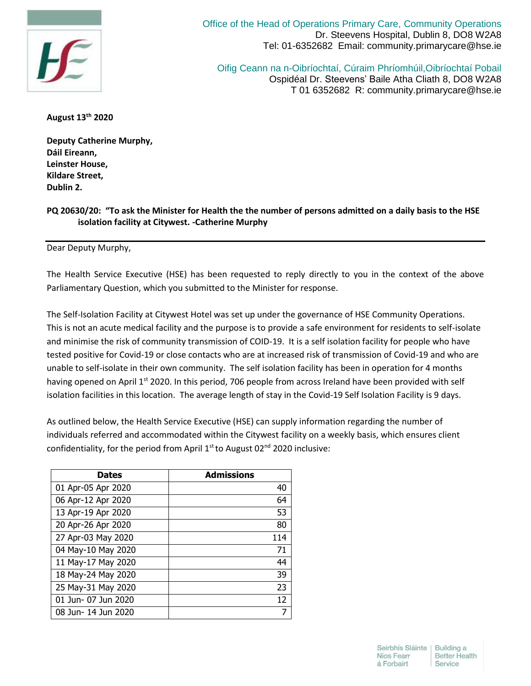

Office of the Head of Operations Primary Care, Community Operations Dr. Steevens Hospital, Dublin 8, DO8 W2A8 Tel: 01-6352682 Email: community.primarycare@hse.ie

Oifig Ceann na n-Oibríochtaí, Cúraim Phríomhúil,Oibríochtaí Pobail Ospidéal Dr. Steevens' Baile Atha Cliath 8, DO8 W2A8 T 01 6352682 R: community.primarycare@hse.ie

**August 13th 2020**

**Deputy Catherine Murphy, Dáil Eireann, Leinster House, Kildare Street, Dublin 2.**

## **PQ 20630/20: "To ask the Minister for Health the the number of persons admitted on a daily basis to the HSE isolation facility at Citywest. -Catherine Murphy**

Dear Deputy Murphy,

The Health Service Executive (HSE) has been requested to reply directly to you in the context of the above Parliamentary Question, which you submitted to the Minister for response.

The Self-Isolation Facility at Citywest Hotel was set up under the governance of HSE Community Operations. This is not an acute medical facility and the purpose is to provide a safe environment for residents to self-isolate and minimise the risk of community transmission of COID-19. It is a self isolation facility for people who have tested positive for Covid-19 or close contacts who are at increased risk of transmission of Covid-19 and who are unable to self-isolate in their own community. The self isolation facility has been in operation for 4 months having opened on April 1<sup>st</sup> 2020. In this period, 706 people from across Ireland have been provided with self isolation facilities in this location. The average length of stay in the Covid-19 Self Isolation Facility is 9 days.

As outlined below, the Health Service Executive (HSE) can supply information regarding the number of individuals referred and accommodated within the Citywest facility on a weekly basis, which ensures client confidentiality, for the period from April  $1<sup>st</sup>$  to August 02<sup>nd</sup> 2020 inclusive:

| <b>Dates</b>        | <b>Admissions</b> |
|---------------------|-------------------|
| 01 Apr-05 Apr 2020  | 40                |
| 06 Apr-12 Apr 2020  | 64                |
| 13 Apr-19 Apr 2020  | 53                |
| 20 Apr-26 Apr 2020  | 80                |
| 27 Apr-03 May 2020  | 114               |
| 04 May-10 May 2020  | 71                |
| 11 May-17 May 2020  | 44                |
| 18 May-24 May 2020  | 39                |
| 25 May-31 May 2020  | 23                |
| 01 Jun- 07 Jun 2020 | 12                |
| 08 Jun- 14 Jun 2020 | 7                 |